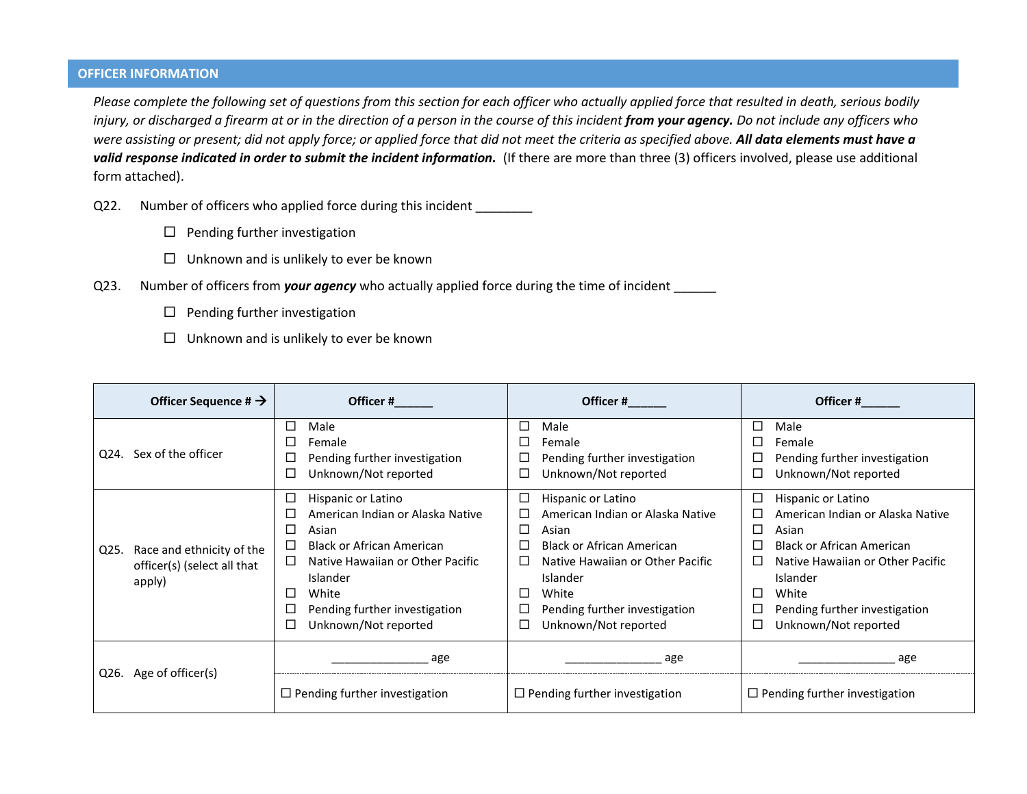## **OFFICER INFORMATION**

*Please complete the following set of questions from this section for each officer who actually applied force that resulted in death, serious bodily*  injury, or discharged a firearm at or in the direction of a person in the course of this incident *from your agency*. Do not include any officers who *were assisting or present; did not apply force; or applied force that did not meet the criteria as specified above. All data elements must have a valid response indicated in order to submit the incident information.* (If there are more than three (3) officers involved, please use additional form attached).

- Q22. Number of officers who applied force during this incident \_\_\_\_\_\_\_
	- $\square$  Pending further investigation
	- $\square$  Unknown and is unlikely to ever be known
- Q23. Number of officers from *your agency* who actually applied force during the time of incident \_\_\_\_\_\_
	- $\square$  Pending further investigation
	- $\Box$  Unknown and is unlikely to ever be known

| Officer Sequence # $\rightarrow$                                           | Officer #                                                                                                                                                                                                             | Officer#                                                                                                                                                                                                                                                      | Officer#                                                                                                                                                                                                                                                           |
|----------------------------------------------------------------------------|-----------------------------------------------------------------------------------------------------------------------------------------------------------------------------------------------------------------------|---------------------------------------------------------------------------------------------------------------------------------------------------------------------------------------------------------------------------------------------------------------|--------------------------------------------------------------------------------------------------------------------------------------------------------------------------------------------------------------------------------------------------------------------|
| Q24. Sex of the officer                                                    | Male<br>$\Box$<br>Female<br>Pending further investigation<br>Unknown/Not reported                                                                                                                                     | $\Box$<br>Male<br>Female<br>ш<br>Pending further investigation<br>Unknown/Not reported<br>Ш                                                                                                                                                                   | □<br>Male<br>П<br>Female<br>□<br>Pending further investigation<br>□<br>Unknown/Not reported                                                                                                                                                                        |
| Race and ethnicity of the<br>Q25.<br>officer(s) (select all that<br>apply) | Hispanic or Latino<br>American Indian or Alaska Native<br>Asian<br><b>Black or African American</b><br>Native Hawaiian or Other Pacific<br>Islander<br>White<br>Pending further investigation<br>Unknown/Not reported | □<br>Hispanic or Latino<br>American Indian or Alaska Native<br>Asian<br>$\Box$<br><b>Black or African American</b><br>Native Hawaiian or Other Pacific<br>Islander<br>White<br>$\Box$<br>Pending further investigation<br>$\Box$<br>Unknown/Not reported<br>Ш | □<br>Hispanic or Latino<br>American Indian or Alaska Native<br>□<br>□<br>Asian<br>П<br><b>Black or African American</b><br>Native Hawaiian or Other Pacific<br>$\Box$<br>Islander<br>□<br>White<br>□<br>Pending further investigation<br>□<br>Unknown/Not reported |
| Q26. Age of officer(s)                                                     | age<br>$\Box$ Pending further investigation                                                                                                                                                                           | age<br>$\Box$ Pending further investigation                                                                                                                                                                                                                   | age<br>$\Box$ Pending further investigation                                                                                                                                                                                                                        |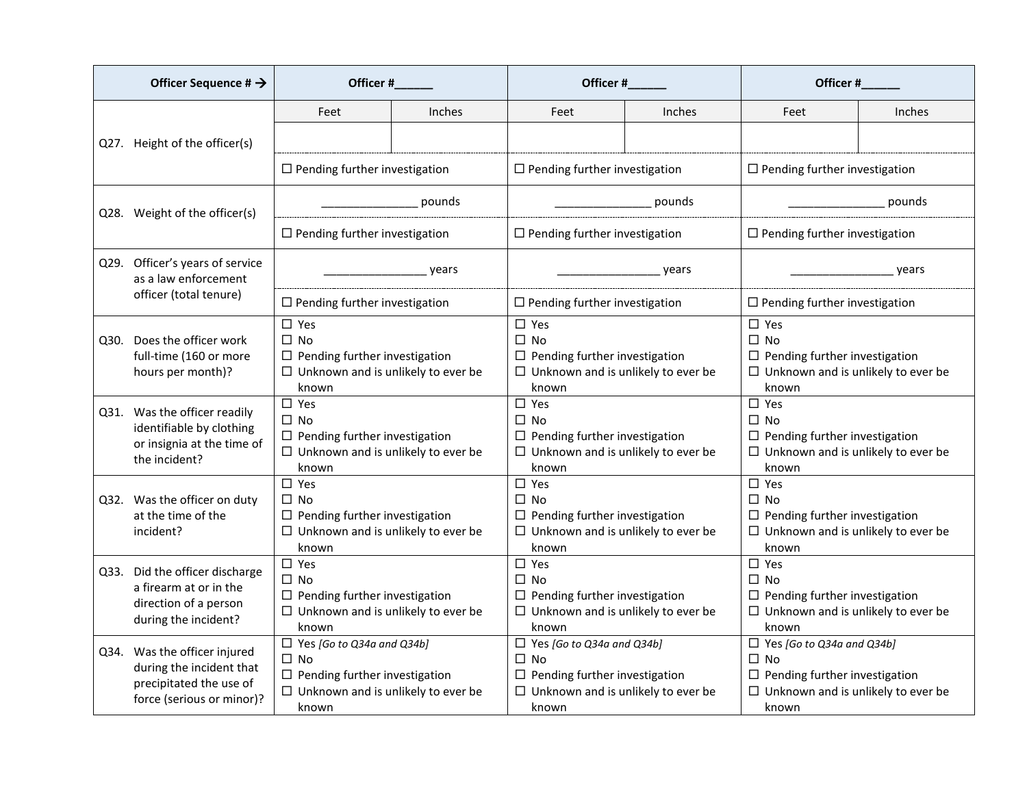|      | Officer Sequence # $\rightarrow$                                                                                 | Officer #                                                                                                                                      |               | Officer#                                                                                                                                       |        | Officer #                                                                                                                                   |        |
|------|------------------------------------------------------------------------------------------------------------------|------------------------------------------------------------------------------------------------------------------------------------------------|---------------|------------------------------------------------------------------------------------------------------------------------------------------------|--------|---------------------------------------------------------------------------------------------------------------------------------------------|--------|
|      |                                                                                                                  | Feet                                                                                                                                           | <b>Inches</b> | Feet                                                                                                                                           | Inches | Feet                                                                                                                                        | Inches |
|      | Q27. Height of the officer(s)                                                                                    |                                                                                                                                                |               |                                                                                                                                                |        |                                                                                                                                             |        |
|      |                                                                                                                  | $\Box$ Pending further investigation                                                                                                           |               | $\Box$ Pending further investigation                                                                                                           |        | $\Box$ Pending further investigation                                                                                                        |        |
|      | Q28. Weight of the officer(s)                                                                                    | pounds                                                                                                                                         |               |                                                                                                                                                | pounds |                                                                                                                                             | pounds |
|      |                                                                                                                  | $\Box$ Pending further investigation                                                                                                           |               | $\Box$ Pending further investigation                                                                                                           |        | $\Box$ Pending further investigation                                                                                                        |        |
|      | Q29. Officer's years of service<br>as a law enforcement                                                          |                                                                                                                                                | years         | years                                                                                                                                          |        | years                                                                                                                                       |        |
|      | officer (total tenure)                                                                                           | $\Box$ Pending further investigation                                                                                                           |               | $\Box$ Pending further investigation                                                                                                           |        | $\Box$ Pending further investigation                                                                                                        |        |
|      | Q30. Does the officer work<br>full-time (160 or more<br>hours per month)?                                        | $\square$ Yes<br>$\Box$ No<br>$\Box$ Pending further investigation<br>$\Box$ Unknown and is unlikely to ever be<br>known                       |               | $\square$ Yes<br>$\square$ No<br>$\Box$ Pending further investigation<br>$\Box$ Unknown and is unlikely to ever be<br>known                    |        | $\square$ Yes<br>$\square$ No<br>$\Box$ Pending further investigation<br>$\Box$ Unknown and is unlikely to ever be<br>known                 |        |
|      | Q31. Was the officer readily<br>identifiable by clothing<br>or insignia at the time of<br>the incident?          | $\Box$ Yes<br>$\square$ No<br>$\Box$ Pending further investigation<br>$\Box$ Unknown and is unlikely to ever be<br>known                       |               | $\Box$ Yes<br>$\square$ No<br>$\Box$ Pending further investigation<br>$\Box$ Unknown and is unlikely to ever be<br>known                       |        | $\square$ Yes<br>$\square$ No<br>$\Box$ Pending further investigation<br>$\Box$ Unknown and is unlikely to ever be<br>known                 |        |
|      | Q32. Was the officer on duty<br>at the time of the<br>incident?                                                  | $\square$ Yes<br>$\Box$ No<br>$\Box$ Pending further investigation<br>$\Box$ Unknown and is unlikely to ever be<br>known                       |               | $\square$ Yes<br>$\Box$ No<br>$\Box$ Pending further investigation<br>$\Box$ Unknown and is unlikely to ever be<br>known                       |        | $\square$ Yes<br>$\square$ No<br>$\Box$ Pending further investigation<br>$\Box$ Unknown and is unlikely to ever be<br>known                 |        |
| Q33. | Did the officer discharge<br>a firearm at or in the<br>direction of a person<br>during the incident?             | $\square$ Yes<br>$\square$ No<br>$\Box$ Pending further investigation<br>$\Box$ Unknown and is unlikely to ever be<br>known                    |               | $\square$ Yes<br>$\Box$ No<br>$\Box$ Pending further investigation<br>$\Box$ Unknown and is unlikely to ever be<br>known                       |        | $\square$ Yes<br>$\Box$ No<br>$\Box$ Pending further investigation<br>$\Box$ Unknown and is unlikely to ever be<br>known                    |        |
|      | Q34. Was the officer injured<br>during the incident that<br>precipitated the use of<br>force (serious or minor)? | $\Box$ Yes [Go to Q34a and Q34b]<br>$\square$ No<br>$\Box$ Pending further investigation<br>$\Box$ Unknown and is unlikely to ever be<br>known |               | $\Box$ Yes [Go to Q34a and Q34b]<br>$\square$ No<br>$\Box$ Pending further investigation<br>$\Box$ Unknown and is unlikely to ever be<br>known |        | $\Box$ Yes [Go to Q34a and Q34b]<br>$\Box$ No<br>$\Box$ Pending further investigation<br>$\Box$ Unknown and is unlikely to ever be<br>known |        |